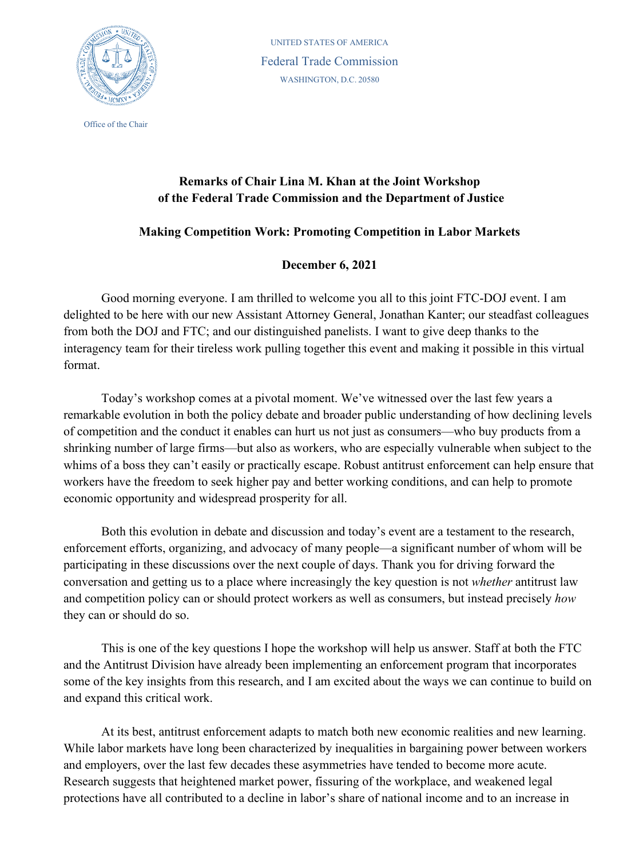

Office of the Chair

UNITED STATES OF AMERICA Federal Trade Commission WASHINGTON, D.C. 20580

## **Remarks of Chair Lina M. Khan at the Joint Workshop of the Federal Trade Commission and the Department of Justice**

## **Making Competition Work: Promoting Competition in Labor Markets**

## **December 6, 2021**

Good morning everyone. I am thrilled to welcome you all to this joint FTC-DOJ event. I am delighted to be here with our new Assistant Attorney General, Jonathan Kanter; our steadfast colleagues from both the DOJ and FTC; and our distinguished panelists. I want to give deep thanks to the interagency team for their tireless work pulling together this event and making it possible in this virtual format.

Today's workshop comes at a pivotal moment. We've witnessed over the last few years a remarkable evolution in both the policy debate and broader public understanding of how declining levels of competition and the conduct it enables can hurt us not just as consumers—who buy products from a shrinking number of large firms—but also as workers, who are especially vulnerable when subject to the whims of a boss they can't easily or practically escape. Robust antitrust enforcement can help ensure that workers have the freedom to seek higher pay and better working conditions, and can help to promote economic opportunity and widespread prosperity for all.

Both this evolution in debate and discussion and today's event are a testament to the research, enforcement efforts, organizing, and advocacy of many people—a significant number of whom will be participating in these discussions over the next couple of days. Thank you for driving forward the conversation and getting us to a place where increasingly the key question is not *whether* antitrust law and competition policy can or should protect workers as well as consumers, but instead precisely *how* they can or should do so.

This is one of the key questions I hope the workshop will help us answer. Staff at both the FTC and the Antitrust Division have already been implementing an enforcement program that incorporates some of the key insights from this research, and I am excited about the ways we can continue to build on and expand this critical work.

At its best, antitrust enforcement adapts to match both new economic realities and new learning. While labor markets have long been characterized by inequalities in bargaining power between workers and employers, over the last few decades these asymmetries have tended to become more acute. Research suggests that heightened market power, fissuring of the workplace, and weakened legal protections have all contributed to a decline in labor's share of national income and to an increase in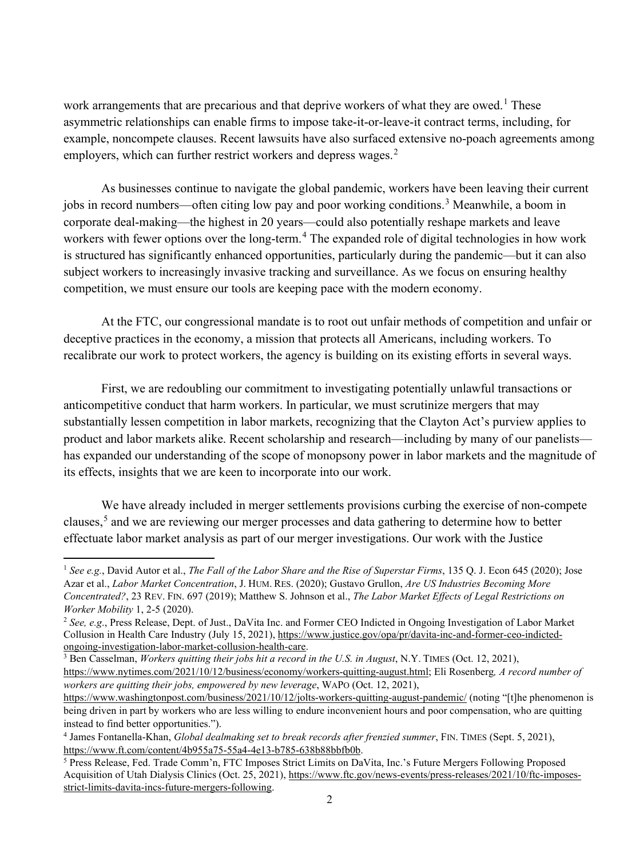work arrangements that are precarious and that deprive workers of what they are owed.<sup>[1](#page-1-0)</sup> These asymmetric relationships can enable firms to impose take-it-or-leave-it contract terms, including, for example, noncompete clauses. Recent lawsuits have also surfaced extensive no-poach agreements among employers, which can further restrict workers and depress wages.<sup>[2](#page-1-1)</sup>

As businesses continue to navigate the global pandemic, workers have been leaving their current jobs in record numbers—often citing low pay and poor working conditions.<sup>[3](#page-1-2)</sup> Meanwhile, a boom in corporate deal-making—the highest in 20 years—could also potentially reshape markets and leave workers with fewer options over the long-term.<sup>[4](#page-1-3)</sup> The expanded role of digital technologies in how work is structured has significantly enhanced opportunities, particularly during the pandemic—but it can also subject workers to increasingly invasive tracking and surveillance. As we focus on ensuring healthy competition, we must ensure our tools are keeping pace with the modern economy.

At the FTC, our congressional mandate is to root out unfair methods of competition and unfair or deceptive practices in the economy, a mission that protects all Americans, including workers. To recalibrate our work to protect workers, the agency is building on its existing efforts in several ways.

First, we are redoubling our commitment to investigating potentially unlawful transactions or anticompetitive conduct that harm workers. In particular, we must scrutinize mergers that may substantially lessen competition in labor markets, recognizing that the Clayton Act's purview applies to product and labor markets alike. Recent scholarship and research—including by many of our panelists has expanded our understanding of the scope of monopsony power in labor markets and the magnitude of its effects, insights that we are keen to incorporate into our work.

We have already included in merger settlements provisions curbing the exercise of non-compete clauses,[5](#page-1-4) and we are reviewing our merger processes and data gathering to determine how to better effectuate labor market analysis as part of our merger investigations. Our work with the Justice

<span id="page-1-0"></span><sup>1</sup> *See e.g.*, David Autor et al., *The Fall of the Labor Share and the Rise of Superstar Firms*, 135 Q. J. Econ 645 (2020); Jose Azar et al., *Labor Market Concentration*, J. HUM. RES. (2020); Gustavo Grullon, *Are US Industries Becoming More Concentrated?*, 23 REV. FIN. 697 (2019); Matthew S. Johnson et al., *The Labor Market Effects of Legal Restrictions on Worker Mobility* 1, 2-5 (2020).<br><sup>2</sup> *See, e.g.*, Press Release, Dept. of Just., DaVita Inc. and Former CEO Indicted in Ongoing Investigation of Labor Market

<span id="page-1-1"></span>Collusion in Health Care Industry (July 15, 2021), https://www.justice.gov/opa/pr/davita-inc-and-former-ceo-indicted-<br>ongoing-investigation-labor-market-collusion-health-care.

<span id="page-1-2"></span><sup>&</sup>lt;sup>3</sup> Ben Casselman, *Workers quitting their jobs hit a record in the U.S. in August*, N.Y. TIMES (Oct. 12, 2021), [https://www.nytimes.com/2021/10/12/business/economy/workers-quitting-august.html;](https://www.nytimes.com/2021/10/12/business/economy/workers-quitting-august.html) Eli [Rosenberg](https://www.washingtonpost.com/people/eli-m-rosenberg/)*, A record number of workers are quitting their jobs, empowered by new leverage*, WAPO (Oct. 12, 2021),

<https://www.washingtonpost.com/business/2021/10/12/jolts-workers-quitting-august-pandemic/> (noting "[t]he phenomenon is being driven in part by workers who are less willing to endure inconvenient hours and poor compensation, who are quitting instead to find better opportunities.").

<span id="page-1-3"></span><sup>4</sup> James Fontanella-Khan, *Global dealmaking set to break records after frenzied summer*, FIN. TIMES (Sept. 5, 2021), [https://www.ft.com/content/4b955a75-55a4-4e13-b785-638b88bbfb0b.](https://www.ft.com/content/4b955a75-55a4-4e13-b785-638b88bbfb0b)<br><sup>5</sup> Press Release, Fed. Trade Comm'n, FTC Imposes Strict Limits on DaVita, Inc.'s Future Mergers Following Proposed

<span id="page-1-4"></span>Acquisition of Utah Dialysis Clinics (Oct. 25, 2021)[, https://www.ftc.gov/news-events/press-releases/2021/10/ftc-imposes](https://www.ftc.gov/news-events/press-releases/2021/10/ftc-imposes-strict-limits-davita-incs-future-mergers-following)[strict-limits-davita-incs-future-mergers-following.](https://www.ftc.gov/news-events/press-releases/2021/10/ftc-imposes-strict-limits-davita-incs-future-mergers-following)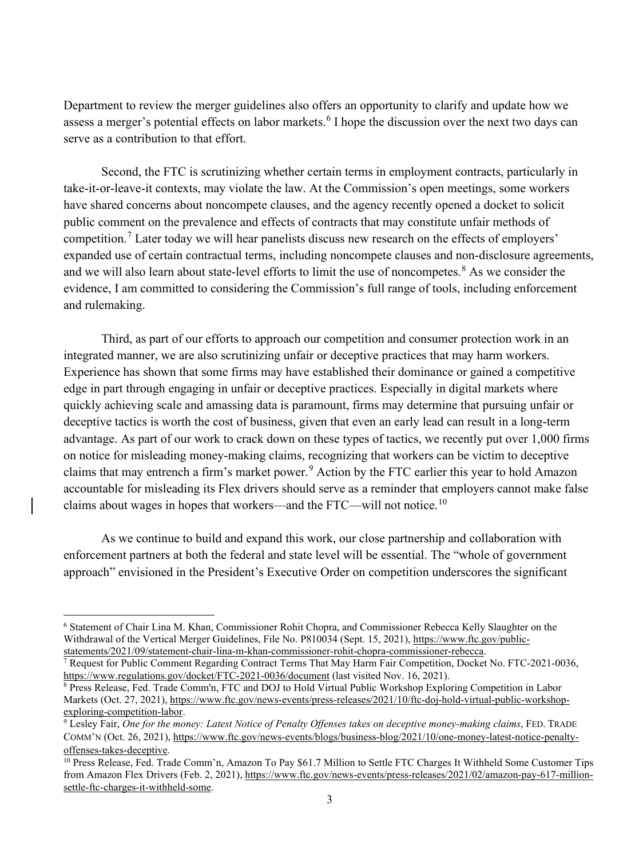Department to review the merger guidelines also offers an opportunity to clarify and update how we assess a merger's potential effects on labor markets.<sup>[6](#page-2-0)</sup> I hope the discussion over the next two days can serve as a contribution to that effort.

Second, the FTC is scrutinizing whether certain terms in employment contracts, particularly in take-it-or-leave-it contexts, may violate the law. At the Commission's open meetings, some workers have shared concerns about noncompete clauses, and the agency recently opened a docket to solicit public comment on the prevalence and effects of contracts that may constitute unfair methods of competition.<sup>[7](#page-2-1)</sup> Later today we will hear panelists discuss new research on the effects of employers' expanded use of certain contractual terms, including noncompete clauses and non-disclosure agreements, and we will also learn about state-level efforts to limit the use of noncompetes.<sup>[8](#page-2-2)</sup> As we consider the evidence, I am committed to considering the Commission's full range of tools, including enforcement and rulemaking.

Third, as part of our efforts to approach our competition and consumer protection work in an integrated manner, we are also scrutinizing unfair or deceptive practices that may harm workers. Experience has shown that some firms may have established their dominance or gained a competitive edge in part through engaging in unfair or deceptive practices. Especially in digital markets where quickly achieving scale and amassing data is paramount, firms may determine that pursuing unfair or deceptive tactics is worth the cost of business, given that even an early lead can result in a long-term advantage. As part of our work to crack down on these types of tactics, we recently put over 1,000 firms on notice for misleading money-making claims, recognizing that workers can be victim to deceptive claims that may entrench a firm's market power.<sup>[9](#page-2-3)</sup> Action by the FTC earlier this year to hold Amazon accountable for misleading its Flex drivers should serve as a reminder that employers cannot make false claims about wages in hopes that workers—and the FTC—will not notice.<sup>[10](#page-2-4)</sup>

As we continue to build and expand this work, our close partnership and collaboration with enforcement partners at both the federal and state level will be essential. The "whole of government approach" envisioned in the President's Executive Order on competition underscores the significant

<span id="page-2-0"></span><sup>6</sup> Statement of Chair Lina M. Khan, Commissioner Rohit Chopra, and Commissioner Rebecca Kelly Slaughter on the Withdrawal of the Vertical Merger Guidelines, File No. P810034 (Sept. 15, 2021), https://www.ftc.gov/public-<br>statements/2021/09/statement-chair-lina-m-khan-commissioner-rohit-chopra-commissioner-rebecca.

<span id="page-2-1"></span> $\overline{7}$  Request for Public Comment Regarding Contract Terms That May Harm Fair Competition, Docket No. FTC-2021-0036, <https://www.regulations.gov/docket/FTC-2021-0036/document> (last visited Nov. 16, 2021).

<span id="page-2-2"></span><sup>&</sup>lt;sup>8</sup> Press Release, Fed. Trade Comm'n, FTC and DOJ to Hold Virtual Public Workshop Exploring Competition in Labor Markets (Oct. 27, 2021), [https://www.ftc.gov/news-events/press-releases/2021/10/ftc-doj-hold-virtual-public-workshop](https://www.ftc.gov/news-events/press-releases/2021/10/ftc-doj-hold-virtual-public-workshop-exploring-competition-labor)[exploring-competition-labor.](https://www.ftc.gov/news-events/press-releases/2021/10/ftc-doj-hold-virtual-public-workshop-exploring-competition-labor)

<span id="page-2-3"></span><sup>9</sup> Lesley Fair, *One for the money: Latest Notice of Penalty Offenses takes on deceptive money-making claims*, FED. TRADE COMM'N (Oct. 26, 2021), [https://www.ftc.gov/news-events/blogs/business-blog/2021/10/one-money-latest-notice-penalty-](https://www.ftc.gov/news-events/blogs/business-blog/2021/10/one-money-latest-notice-penalty-offenses-takes-deceptive)

<span id="page-2-4"></span>[offenses-takes-deceptive.](https://www.ftc.gov/news-events/blogs/business-blog/2021/10/one-money-latest-notice-penalty-offenses-takes-deceptive) 10 Press Release, Fed. Trade Comm'n, Amazon To Pay \$61.7 Million to Settle FTC Charges It Withheld Some Customer Tips from Amazon Flex Drivers (Feb. 2, 2021), [https://www.ftc.gov/news-events/press-releases/2021/02/amazon-pay-617-million](https://www.ftc.gov/news-events/press-releases/2021/02/amazon-pay-617-million-settle-ftc-charges-it-withheld-some)[settle-ftc-charges-it-withheld-some.](https://www.ftc.gov/news-events/press-releases/2021/02/amazon-pay-617-million-settle-ftc-charges-it-withheld-some)